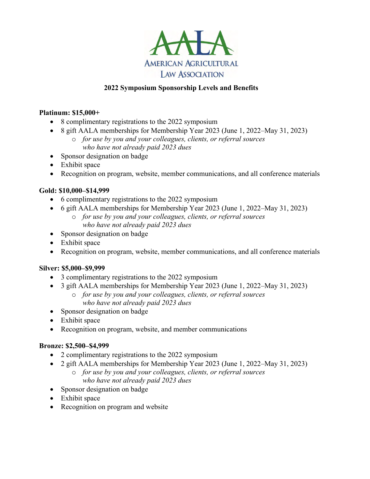

## **2022 Symposium Sponsorship Levels and Benefits**

### **Platinum: \$15,000+**

- 8 complimentary registrations to the 2022 symposium
- 8 gift AALA memberships for Membership Year 2023 (June 1, 2022–May 31, 2023)
	- o *for use by you and your colleagues, clients, or referral sources who have not already paid 2023 dues*
- Sponsor designation on badge
- Exhibit space
- Recognition on program, website, member communications, and all conference materials

## **Gold: \$10,000–\$14,999**

- 6 complimentary registrations to the 2022 symposium
- 6 gift AALA memberships for Membership Year 2023 (June 1, 2022–May 31, 2023) o *for use by you and your colleagues, clients, or referral sources*
	- *who have not already paid 2023 dues*
- Sponsor designation on badge
- Exhibit space
- Recognition on program, website, member communications, and all conference materials

## **Silver: \$5,000–\$9,999**

- 3 complimentary registrations to the 2022 symposium
- 3 gift AALA memberships for Membership Year 2023 (June 1, 2022–May 31, 2023)
	- o *for use by you and your colleagues, clients, or referral sources who have not already paid 2023 dues*
- Sponsor designation on badge
- Exhibit space
- Recognition on program, website, and member communications

## **Bronze: \$2,500–\$4,999**

- 2 complimentary registrations to the 2022 symposium
- 2 gift AALA memberships for Membership Year 2023 (June 1, 2022–May 31, 2023)
	- o *for use by you and your colleagues, clients, or referral sources who have not already paid 2023 dues*
- Sponsor designation on badge
- Exhibit space
- Recognition on program and website